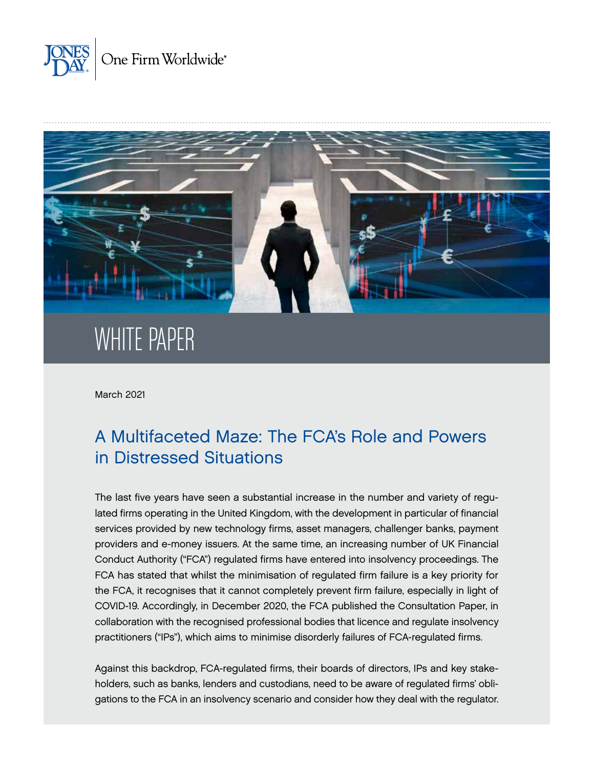



# WHITE PAPER

March 2021

# A Multifaceted Maze: The FCA's Role and Powers in Distressed Situations

The last five years have seen a substantial increase in the number and variety of regulated firms operating in the United Kingdom, with the development in particular of financial services provided by new technology firms, asset managers, challenger banks, payment providers and e-money issuers. At the same time, an increasing number of UK Financial Conduct Authority ("FCA") regulated firms have entered into insolvency proceedings. The FCA has stated that whilst the minimisation of regulated firm failure is a key priority for the FCA, it recognises that it cannot completely prevent firm failure, especially in light of COVID-19. Accordingly, in December 2020, the FCA published the Consultation Paper, in collaboration with the recognised professional bodies that licence and regulate insolvency practitioners ("IPs"), which aims to minimise disorderly failures of FCA-regulated firms.

Against this backdrop, FCA-regulated firms, their boards of directors, IPs and key stakeholders, such as banks, lenders and custodians, need to be aware of regulated firms' obligations to the FCA in an insolvency scenario and consider how they deal with the regulator.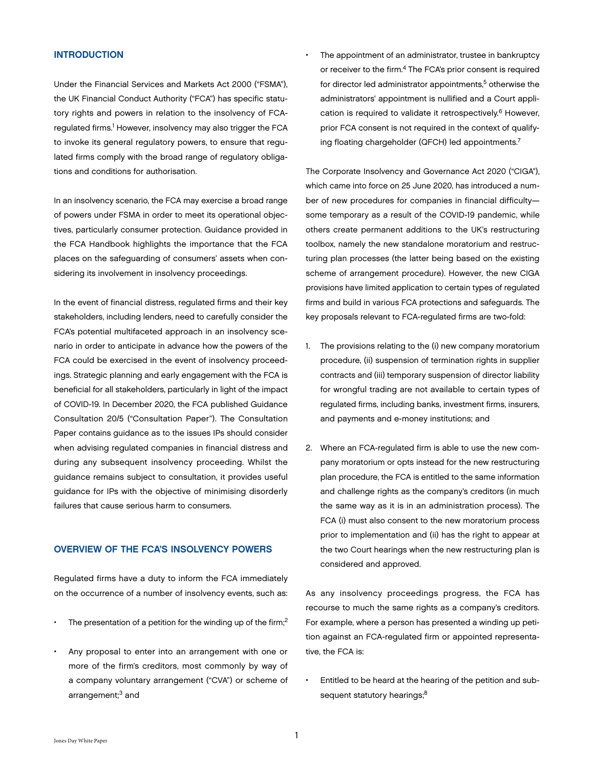#### **INTRODUCTION**

Under the Financial Services and Markets Act 2000 ("FSMA"), the UK Financial Conduct Authority ("FCA") has specific statutory rights and powers in relation to the insolvency of FCAregulated firms.<sup>1</sup> However, insolvency may also trigger the FCA to invoke its general regulatory powers, to ensure that regulated firms comply with the broad range of regulatory obligations and conditions for authorisation.

In an insolvency scenario, the FCA may exercise a broad range of powers under FSMA in order to meet its operational objectives, particularly consumer protection. Guidance provided in the FCA Handbook highlights the importance that the FCA places on the safeguarding of consumers' assets when considering its involvement in insolvency proceedings.

In the event of financial distress, regulated firms and their key stakeholders, including lenders, need to carefully consider the FCA's potential multifaceted approach in an insolvency scenario in order to anticipate in advance how the powers of the FCA could be exercised in the event of insolvency proceedings. Strategic planning and early engagement with the FCA is beneficial for all stakeholders, particularly in light of the impact of COVID-19. In December 2020, the FCA published Guidance Consultation 20/5 ("Consultation Paper"). The Consultation Paper contains guidance as to the issues IPs should consider when advising regulated companies in financial distress and during any subsequent insolvency proceeding. Whilst the guidance remains subject to consultation, it provides useful guidance for IPs with the objective of minimising disorderly failures that cause serious harm to consumers.

### OVERVIEW OF THE FCA'S INSOLVENCY POWERS

Regulated firms have a duty to inform the FCA immediately on the occurrence of a number of insolvency events, such as:

- The presentation of a petition for the winding up of the firm;<sup>2</sup>
- Any proposal to enter into an arrangement with one or more of the firm's creditors, most commonly by way of a company voluntary arrangement ("CVA") or scheme of arrangement;<sup>3</sup> and

The appointment of an administrator, trustee in bankruptcy or receiver to the firm.<sup>4</sup> The FCA's prior consent is required for director led administrator appointments,<sup>5</sup> otherwise the administrators' appointment is nullified and a Court application is required to validate it retrospectively.<sup>6</sup> However, prior FCA consent is not required in the context of qualifying floating chargeholder (QFCH) led appointments.7

The Corporate Insolvency and Governance Act 2020 ("CIGA"), which came into force on 25 June 2020, has introduced a number of new procedures for companies in financial difficulty some temporary as a result of the COVID-19 pandemic, while others create permanent additions to the UK's restructuring toolbox, namely the new standalone moratorium and restructuring plan processes (the latter being based on the existing scheme of arrangement procedure). However, the new CIGA provisions have limited application to certain types of regulated firms and build in various FCA protections and safeguards. The key proposals relevant to FCA-regulated firms are two-fold:

- 1. The provisions relating to the (i) new company moratorium procedure, (ii) suspension of termination rights in supplier contracts and (iii) temporary suspension of director liability for wrongful trading are not available to certain types of regulated firms, including banks, investment firms, insurers, and payments and e-money institutions; and
- 2. Where an FCA-regulated firm is able to use the new company moratorium or opts instead for the new restructuring plan procedure, the FCA is entitled to the same information and challenge rights as the company's creditors (in much the same way as it is in an administration process). The FCA (i) must also consent to the new moratorium process prior to implementation and (ii) has the right to appear at the two Court hearings when the new restructuring plan is considered and approved.

As any insolvency proceedings progress, the FCA has recourse to much the same rights as a company's creditors. For example, where a person has presented a winding up petition against an FCA-regulated firm or appointed representative, the FCA is:

• Entitled to be heard at the hearing of the petition and subsequent statutory hearings;<sup>8</sup>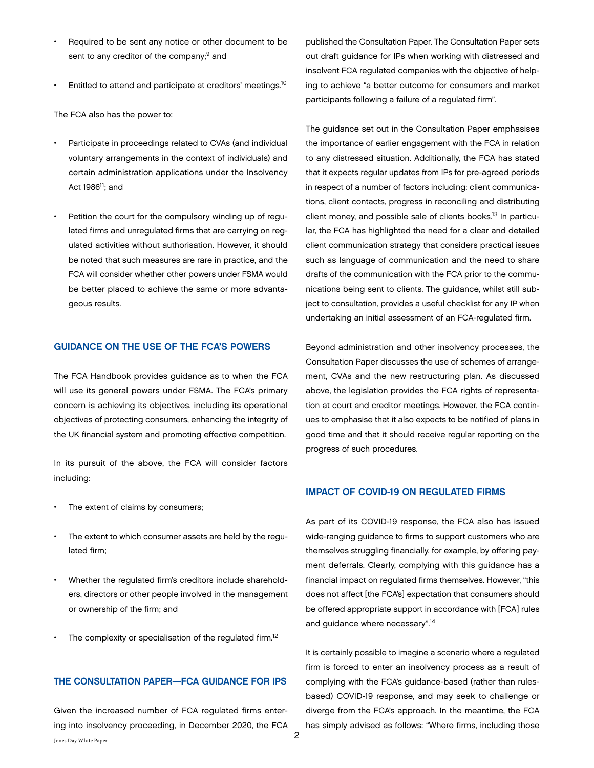- Required to be sent any notice or other document to be sent to any creditor of the company;<sup>9</sup> and
- Entitled to attend and participate at creditors' meetings.<sup>10</sup>

The FCA also has the power to:

- Participate in proceedings related to CVAs (and individual voluntary arrangements in the context of individuals) and certain administration applications under the Insolvency Act 1986<sup>11</sup>; and
- Petition the court for the compulsory winding up of regulated firms and unregulated firms that are carrying on regulated activities without authorisation. However, it should be noted that such measures are rare in practice, and the FCA will consider whether other powers under FSMA would be better placed to achieve the same or more advantageous results.

#### GUIDANCE ON THE USE OF THE FCA'S POWERS

The FCA Handbook provides guidance as to when the FCA will use its general powers under FSMA. The FCA's primary concern is achieving its objectives, including its operational objectives of protecting consumers, enhancing the integrity of the UK financial system and promoting effective competition.

In its pursuit of the above, the FCA will consider factors including:

- The extent of claims by consumers;
- The extent to which consumer assets are held by the regulated firm;
- Whether the regulated firm's creditors include shareholders, directors or other people involved in the management or ownership of the firm; and
- The complexity or specialisation of the regulated firm.<sup>12</sup>

#### THE CONSULTATION PAPER—FCA GUIDANCE FOR IPS

Given the increased number of FCA regulated firms entering into insolvency proceeding, in December 2020, the FCA

published the Consultation Paper. The Consultation Paper sets out draft guidance for IPs when working with distressed and insolvent FCA regulated companies with the objective of helping to achieve "a better outcome for consumers and market participants following a failure of a regulated firm".

The guidance set out in the Consultation Paper emphasises the importance of earlier engagement with the FCA in relation to any distressed situation. Additionally, the FCA has stated that it expects regular updates from IPs for pre-agreed periods in respect of a number of factors including: client communications, client contacts, progress in reconciling and distributing client money, and possible sale of clients books.13 In particular, the FCA has highlighted the need for a clear and detailed client communication strategy that considers practical issues such as language of communication and the need to share drafts of the communication with the FCA prior to the communications being sent to clients. The guidance, whilst still subject to consultation, provides a useful checklist for any IP when undertaking an initial assessment of an FCA-regulated firm.

Beyond administration and other insolvency processes, the Consultation Paper discusses the use of schemes of arrangement, CVAs and the new restructuring plan. As discussed above, the legislation provides the FCA rights of representation at court and creditor meetings. However, the FCA continues to emphasise that it also expects to be notified of plans in good time and that it should receive regular reporting on the progress of such procedures.

#### IMPACT OF COVID-19 ON REGULATED FIRMS

As part of its COVID-19 response, the FCA also has issued wide-ranging guidance to firms to support customers who are themselves struggling financially, for example, by offering payment deferrals. Clearly, complying with this guidance has a financial impact on regulated firms themselves. However, "this does not affect [the FCA's] expectation that consumers should be offered appropriate support in accordance with [FCA] rules and guidance where necessary".14

It is certainly possible to imagine a scenario where a regulated firm is forced to enter an insolvency process as a result of complying with the FCA's guidance-based (rather than rulesbased) COVID-19 response, and may seek to challenge or diverge from the FCA's approach. In the meantime, the FCA has simply advised as follows: "Where firms, including those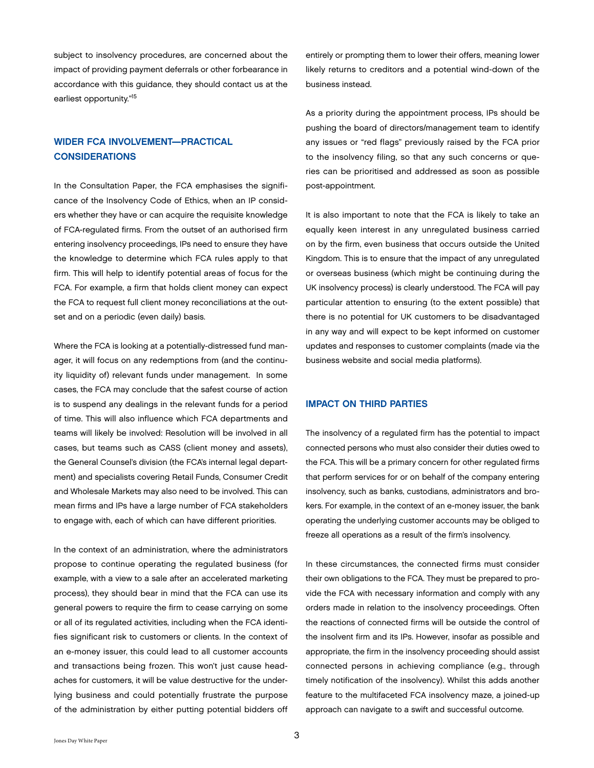subject to insolvency procedures, are concerned about the impact of providing payment deferrals or other forbearance in accordance with this guidance, they should contact us at the earliest opportunity."<sup>15</sup>

## WIDER FCA INVOLVEMENT—PRACTICAL **CONSIDERATIONS**

In the Consultation Paper, the FCA emphasises the significance of the Insolvency Code of Ethics, when an IP considers whether they have or can acquire the requisite knowledge of FCA-regulated firms. From the outset of an authorised firm entering insolvency proceedings, IPs need to ensure they have the knowledge to determine which FCA rules apply to that firm. This will help to identify potential areas of focus for the FCA. For example, a firm that holds client money can expect the FCA to request full client money reconciliations at the outset and on a periodic (even daily) basis.

Where the FCA is looking at a potentially-distressed fund manager, it will focus on any redemptions from (and the continuity liquidity of) relevant funds under management. In some cases, the FCA may conclude that the safest course of action is to suspend any dealings in the relevant funds for a period of time. This will also influence which FCA departments and teams will likely be involved: Resolution will be involved in all cases, but teams such as CASS (client money and assets), the General Counsel's division (the FCA's internal legal department) and specialists covering Retail Funds, Consumer Credit and Wholesale Markets may also need to be involved. This can mean firms and IPs have a large number of FCA stakeholders to engage with, each of which can have different priorities.

In the context of an administration, where the administrators propose to continue operating the regulated business (for example, with a view to a sale after an accelerated marketing process), they should bear in mind that the FCA can use its general powers to require the firm to cease carrying on some or all of its regulated activities, including when the FCA identifies significant risk to customers or clients. In the context of an e-money issuer, this could lead to all customer accounts and transactions being frozen. This won't just cause headaches for customers, it will be value destructive for the underlying business and could potentially frustrate the purpose of the administration by either putting potential bidders off

entirely or prompting them to lower their offers, meaning lower likely returns to creditors and a potential wind-down of the business instead.

As a priority during the appointment process, IPs should be pushing the board of directors/management team to identify any issues or "red flags" previously raised by the FCA prior to the insolvency filing, so that any such concerns or queries can be prioritised and addressed as soon as possible post-appointment.

It is also important to note that the FCA is likely to take an equally keen interest in any unregulated business carried on by the firm, even business that occurs outside the United Kingdom. This is to ensure that the impact of any unregulated or overseas business (which might be continuing during the UK insolvency process) is clearly understood. The FCA will pay particular attention to ensuring (to the extent possible) that there is no potential for UK customers to be disadvantaged in any way and will expect to be kept informed on customer updates and responses to customer complaints (made via the business website and social media platforms).

#### IMPACT ON THIRD PARTIES

The insolvency of a regulated firm has the potential to impact connected persons who must also consider their duties owed to the FCA. This will be a primary concern for other regulated firms that perform services for or on behalf of the company entering insolvency, such as banks, custodians, administrators and brokers. For example, in the context of an e-money issuer, the bank operating the underlying customer accounts may be obliged to freeze all operations as a result of the firm's insolvency.

In these circumstances, the connected firms must consider their own obligations to the FCA. They must be prepared to provide the FCA with necessary information and comply with any orders made in relation to the insolvency proceedings. Often the reactions of connected firms will be outside the control of the insolvent firm and its IPs. However, insofar as possible and appropriate, the firm in the insolvency proceeding should assist connected persons in achieving compliance (e.g., through timely notification of the insolvency). Whilst this adds another feature to the multifaceted FCA insolvency maze, a joined-up approach can navigate to a swift and successful outcome.